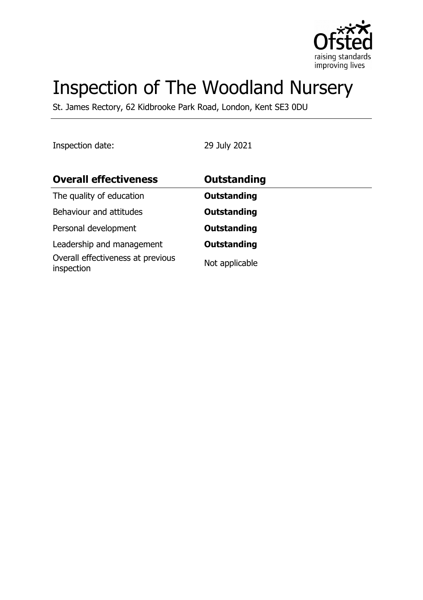

# Inspection of The Woodland Nursery

St. James Rectory, 62 Kidbrooke Park Road, London, Kent SE3 0DU

Inspection date: 29 July 2021

| <b>Overall effectiveness</b>                    | <b>Outstanding</b> |  |
|-------------------------------------------------|--------------------|--|
| The quality of education                        | <b>Outstanding</b> |  |
| Behaviour and attitudes                         | <b>Outstanding</b> |  |
| Personal development                            | <b>Outstanding</b> |  |
| Leadership and management                       | <b>Outstanding</b> |  |
| Overall effectiveness at previous<br>inspection | Not applicable     |  |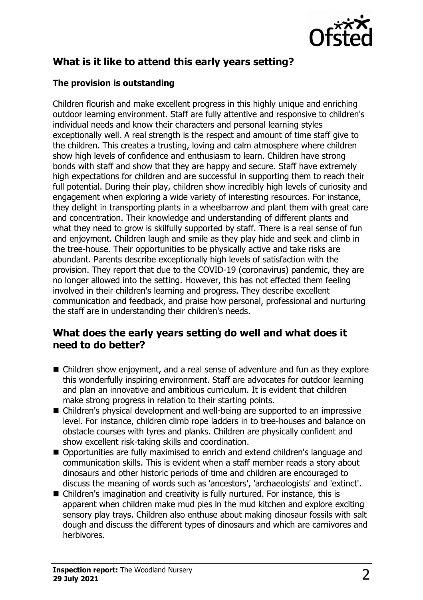

# **What is it like to attend this early years setting?**

### **The provision is outstanding**

Children flourish and make excellent progress in this highly unique and enriching outdoor learning environment. Staff are fully attentive and responsive to children's individual needs and know their characters and personal learning styles exceptionally well. A real strength is the respect and amount of time staff give to the children. This creates a trusting, loving and calm atmosphere where children show high levels of confidence and enthusiasm to learn. Children have strong bonds with staff and show that they are happy and secure. Staff have extremely high expectations for children and are successful in supporting them to reach their full potential. During their play, children show incredibly high levels of curiosity and engagement when exploring a wide variety of interesting resources. For instance, they delight in transporting plants in a wheelbarrow and plant them with great care and concentration. Their knowledge and understanding of different plants and what they need to grow is skilfully supported by staff. There is a real sense of fun and enjoyment. Children laugh and smile as they play hide and seek and climb in the tree-house. Their opportunities to be physically active and take risks are abundant. Parents describe exceptionally high levels of satisfaction with the provision. They report that due to the COVID-19 (coronavirus) pandemic, they are no longer allowed into the setting. However, this has not effected them feeling involved in their children's learning and progress. They describe excellent communication and feedback, and praise how personal, professional and nurturing the staff are in understanding their children's needs.

## **What does the early years setting do well and what does it need to do better?**

- $\blacksquare$  Children show enjoyment, and a real sense of adventure and fun as they explore this wonderfully inspiring environment. Staff are advocates for outdoor learning and plan an innovative and ambitious curriculum. It is evident that children make strong progress in relation to their starting points.
- $\blacksquare$  Children's physical development and well-being are supported to an impressive level. For instance, children climb rope ladders in to tree-houses and balance on obstacle courses with tyres and planks. Children are physically confident and show excellent risk-taking skills and coordination.
- Opportunities are fully maximised to enrich and extend children's language and communication skills. This is evident when a staff member reads a story about dinosaurs and other historic periods of time and children are encouraged to discuss the meaning of words such as 'ancestors', 'archaeologists' and 'extinct'.
- Children's imagination and creativity is fully nurtured. For instance, this is apparent when children make mud pies in the mud kitchen and explore exciting sensory play trays. Children also enthuse about making dinosaur fossils with salt dough and discuss the different types of dinosaurs and which are carnivores and herbivores.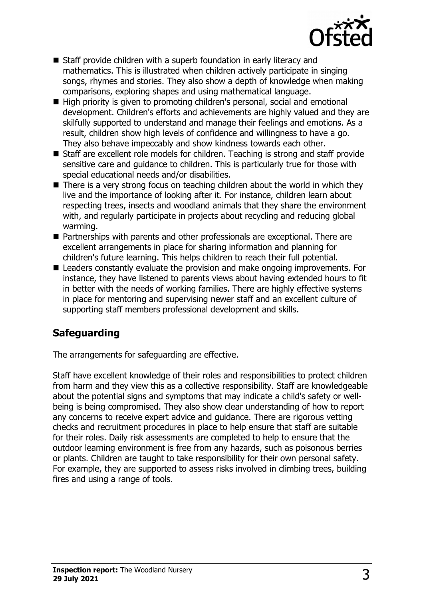

- $\blacksquare$  Staff provide children with a superb foundation in early literacy and mathematics. This is illustrated when children actively participate in singing songs, rhymes and stories. They also show a depth of knowledge when making comparisons, exploring shapes and using mathematical language.
- High priority is given to promoting children's personal, social and emotional development. Children's efforts and achievements are highly valued and they are skilfully supported to understand and manage their feelings and emotions. As a result, children show high levels of confidence and willingness to have a go. They also behave impeccably and show kindness towards each other.
- $\blacksquare$  Staff are excellent role models for children. Teaching is strong and staff provide sensitive care and guidance to children. This is particularly true for those with special educational needs and/or disabilities.
- $\blacksquare$  There is a very strong focus on teaching children about the world in which they live and the importance of looking after it. For instance, children learn about respecting trees, insects and woodland animals that they share the environment with, and regularly participate in projects about recycling and reducing global warming.
- Partnerships with parents and other professionals are exceptional. There are excellent arrangements in place for sharing information and planning for children's future learning. This helps children to reach their full potential.
- Leaders constantly evaluate the provision and make ongoing improvements. For instance, they have listened to parents views about having extended hours to fit in better with the needs of working families. There are highly effective systems in place for mentoring and supervising newer staff and an excellent culture of supporting staff members professional development and skills.

# **Safeguarding**

The arrangements for safeguarding are effective.

Staff have excellent knowledge of their roles and responsibilities to protect children from harm and they view this as a collective responsibility. Staff are knowledgeable about the potential signs and symptoms that may indicate a child's safety or wellbeing is being compromised. They also show clear understanding of how to report any concerns to receive expert advice and guidance. There are rigorous vetting checks and recruitment procedures in place to help ensure that staff are suitable for their roles. Daily risk assessments are completed to help to ensure that the outdoor learning environment is free from any hazards, such as poisonous berries or plants. Children are taught to take responsibility for their own personal safety. For example, they are supported to assess risks involved in climbing trees, building fires and using a range of tools.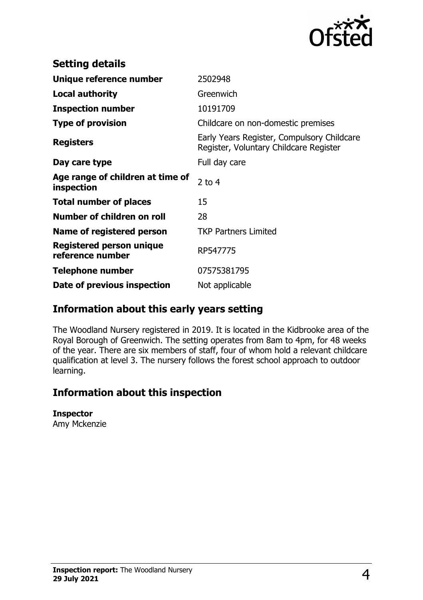

| <b>Setting details</b>                              |                                                                                      |
|-----------------------------------------------------|--------------------------------------------------------------------------------------|
| Unique reference number                             | 2502948                                                                              |
| <b>Local authority</b>                              | Greenwich                                                                            |
| <b>Inspection number</b>                            | 10191709                                                                             |
| <b>Type of provision</b>                            | Childcare on non-domestic premises                                                   |
| <b>Registers</b>                                    | Early Years Register, Compulsory Childcare<br>Register, Voluntary Childcare Register |
| Day care type                                       | Full day care                                                                        |
| Age range of children at time of<br>inspection      | 2 to $4$                                                                             |
| <b>Total number of places</b>                       | 15                                                                                   |
| Number of children on roll                          | 28                                                                                   |
| Name of registered person                           | <b>TKP Partners Limited</b>                                                          |
| <b>Registered person unique</b><br>reference number | RP547775                                                                             |
| Telephone number                                    | 07575381795                                                                          |
| Date of previous inspection                         | Not applicable                                                                       |

# **Information about this early years setting**

The Woodland Nursery registered in 2019. It is located in the Kidbrooke area of the Royal Borough of Greenwich. The setting operates from 8am to 4pm, for 48 weeks of the year. There are six members of staff, four of whom hold a relevant childcare qualification at level 3. The nursery follows the forest school approach to outdoor learning.

# **Information about this inspection**

#### **Inspector**

Amy Mckenzie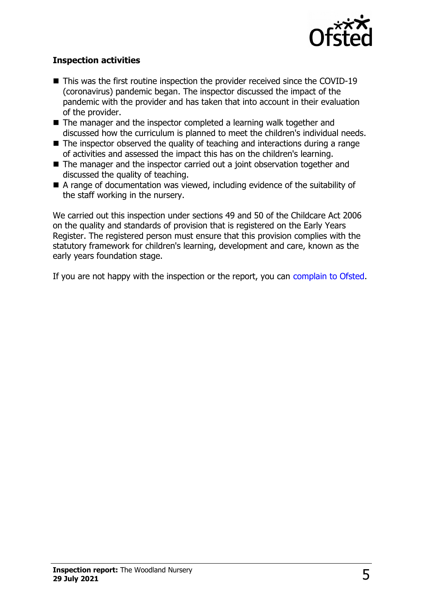

### **Inspection activities**

- $\blacksquare$  This was the first routine inspection the provider received since the COVID-19 (coronavirus) pandemic began. The inspector discussed the impact of the pandemic with the provider and has taken that into account in their evaluation of the provider.
- $\blacksquare$  The manager and the inspector completed a learning walk together and discussed how the curriculum is planned to meet the children's individual needs.
- $\blacksquare$  The inspector observed the quality of teaching and interactions during a range of activities and assessed the impact this has on the children's learning.
- $\blacksquare$  The manager and the inspector carried out a joint observation together and discussed the quality of teaching.
- $\blacksquare$  A range of documentation was viewed, including evidence of the suitability of the staff working in the nursery.

We carried out this inspection under sections 49 and 50 of the Childcare Act 2006 on the quality and standards of provision that is registered on the Early Years Register. The registered person must ensure that this provision complies with the statutory framework for children's learning, development and care, known as the early years foundation stage.

If you are not happy with the inspection or the report, you can [complain to Ofsted.](http://www.gov.uk/complain-ofsted-report)